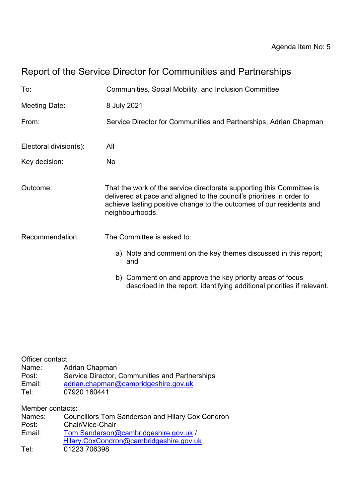# Report of the Service Director for Communities and Partnerships

| To:                    | Communities, Social Mobility, and Inclusion Committee                                                                                                                                                                                     |
|------------------------|-------------------------------------------------------------------------------------------------------------------------------------------------------------------------------------------------------------------------------------------|
| Meeting Date:          | 8 July 2021                                                                                                                                                                                                                               |
| From:                  | Service Director for Communities and Partnerships, Adrian Chapman                                                                                                                                                                         |
| Electoral division(s): | All                                                                                                                                                                                                                                       |
| Key decision:          | No                                                                                                                                                                                                                                        |
| Outcome:               | That the work of the service directorate supporting this Committee is<br>delivered at pace and aligned to the council's priorities in order to<br>achieve lasting positive change to the outcomes of our residents and<br>neighbourhoods. |
| Recommendation:        | The Committee is asked to:                                                                                                                                                                                                                |
|                        | a) Note and comment on the key themes discussed in this report;<br>and                                                                                                                                                                    |
|                        | b) Comment on and approve the key priority areas of focus<br>described in the report, identifying additional priorities if relevant.                                                                                                      |

| Officer contact: |                                                |
|------------------|------------------------------------------------|
| Name:            | Adrian Chapman                                 |
| Post:            | Service Director, Communities and Partnerships |
| Email:           | adrian.chapman@cambridgeshire.gov.uk           |
| Tel:             | 07920 160441                                   |

Member contacts:

| Names: | <b>Councillors Tom Sanderson and Hilary Cox Condron</b> |
|--------|---------------------------------------------------------|
| Post:  | Chair/Vice-Chair                                        |
| Email: | Tom.Sanderson@cambridgeshire.gov.uk /                   |
|        | Hilary.CoxCondron@cambridgeshire.gov.uk                 |
| Tel:   | 01223 706398                                            |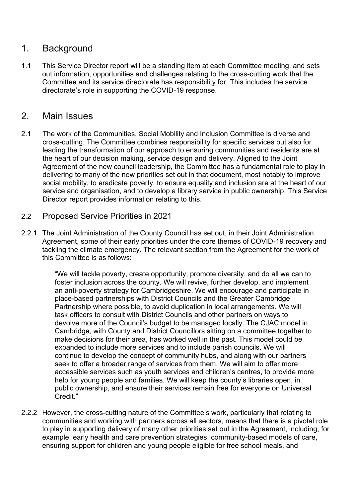# 1. Background

1.1 This Service Director report will be a standing item at each Committee meeting, and sets out information, opportunities and challenges relating to the cross-cutting work that the Committee and its service directorate has responsibility for. This includes the service directorate's role in supporting the COVID-19 response.

# 2. Main Issues

- 2.1 The work of the Communities, Social Mobility and Inclusion Committee is diverse and cross-cutting. The Committee combines responsibility for specific services but also for leading the transformation of our approach to ensuring communities and residents are at the heart of our decision making, service design and delivery. Aligned to the Joint Agreement of the new council leadership, the Committee has a fundamental role to play in delivering to many of the new priorities set out in that document, most notably to improve social mobility, to eradicate poverty, to ensure equality and inclusion are at the heart of our service and organisation, and to develop a library service in public ownership. This Service Director report provides information relating to this.
- 2.2 Proposed Service Priorities in 2021
- 2.2.1 The Joint Administration of the County Council has set out, in their Joint Administration Agreement, some of their early priorities under the core themes of COVID-19 recovery and tackling the climate emergency. The relevant section from the Agreement for the work of this Committee is as follows:

"We will tackle poverty, create opportunity, promote diversity, and do all we can to foster inclusion across the county. We will revive, further develop, and implement an anti-poverty strategy for Cambridgeshire. We will encourage and participate in place-based partnerships with District Councils and the Greater Cambridge Partnership where possible, to avoid duplication in local arrangements. We will task officers to consult with District Councils and other partners on ways to devolve more of the Council's budget to be managed locally. The CJAC model in Cambridge, with County and District Councillors sitting on a committee together to make decisions for their area, has worked well in the past. This model could be expanded to include more services and to include parish councils. We will continue to develop the concept of community hubs, and along with our partners seek to offer a broader range of services from them. We will aim to offer more accessible services such as youth services and children's centres, to provide more help for young people and families. We will keep the county's libraries open, in public ownership, and ensure their services remain free for everyone on Universal Credit."

2.2.2 However, the cross-cutting nature of the Committee's work, particularly that relating to communities and working with partners across all sectors, means that there is a pivotal role to play in supporting delivery of many other priorities set out in the Agreement, including, for example, early health and care prevention strategies, community-based models of care, ensuring support for children and young people eligible for free school meals, and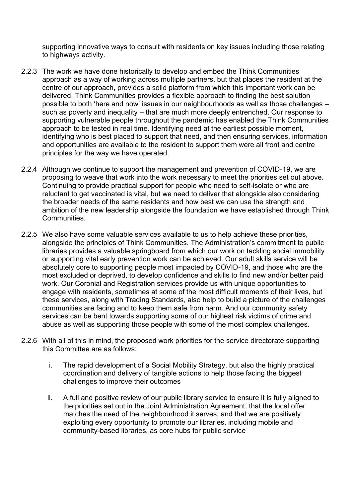supporting innovative ways to consult with residents on key issues including those relating to highways activity.

- 2.2.3 The work we have done historically to develop and embed the Think Communities approach as a way of working across multiple partners, but that places the resident at the centre of our approach, provides a solid platform from which this important work can be delivered. Think Communities provides a flexible approach to finding the best solution possible to both 'here and now' issues in our neighbourhoods as well as those challenges – such as poverty and inequality – that are much more deeply entrenched. Our response to supporting vulnerable people throughout the pandemic has enabled the Think Communities approach to be tested in real time. Identifying need at the earliest possible moment, identifying who is best placed to support that need, and then ensuring services, information and opportunities are available to the resident to support them were all front and centre principles for the way we have operated.
- 2.2.4 Although we continue to support the management and prevention of COVID-19, we are proposing to weave that work into the work necessary to meet the priorities set out above. Continuing to provide practical support for people who need to self-isolate or who are reluctant to get vaccinated is vital, but we need to deliver that alongside also considering the broader needs of the same residents and how best we can use the strength and ambition of the new leadership alongside the foundation we have established through Think Communities.
- 2.2.5 We also have some valuable services available to us to help achieve these priorities, alongside the principles of Think Communities. The Administration's commitment to public libraries provides a valuable springboard from which our work on tackling social immobility or supporting vital early prevention work can be achieved. Our adult skills service will be absolutely core to supporting people most impacted by COVID-19, and those who are the most excluded or deprived, to develop confidence and skills to find new and/or better paid work. Our Coronial and Registration services provide us with unique opportunities to engage with residents, sometimes at some of the most difficult moments of their lives, but these services, along with Trading Standards, also help to build a picture of the challenges communities are facing and to keep them safe from harm. And our community safety services can be bent towards supporting some of our highest risk victims of crime and abuse as well as supporting those people with some of the most complex challenges.
- 2.2.6 With all of this in mind, the proposed work priorities for the service directorate supporting this Committee are as follows:
	- i. The rapid development of a Social Mobility Strategy, but also the highly practical coordination and delivery of tangible actions to help those facing the biggest challenges to improve their outcomes
	- ii. A full and positive review of our public library service to ensure it is fully aligned to the priorities set out in the Joint Administration Agreement, that the local offer matches the need of the neighbourhood it serves, and that we are positively exploiting every opportunity to promote our libraries, including mobile and community-based libraries, as core hubs for public service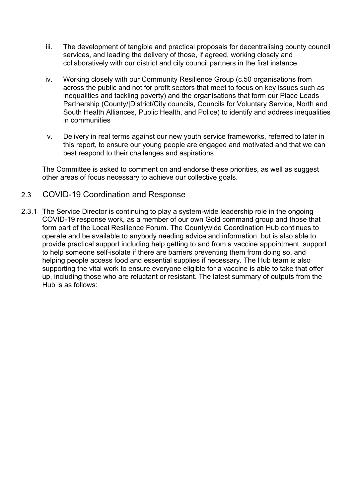- iii. The development of tangible and practical proposals for decentralising county council services, and leading the delivery of those, if agreed, working closely and collaboratively with our district and city council partners in the first instance
- iv. Working closely with our Community Resilience Group (c.50 organisations from across the public and not for profit sectors that meet to focus on key issues such as inequalities and tackling poverty) and the organisations that form our Place Leads Partnership (County/|District/City councils, Councils for Voluntary Service, North and South Health Alliances, Public Health, and Police) to identify and address inequalities in communities
- v. Delivery in real terms against our new youth service frameworks, referred to later in this report, to ensure our young people are engaged and motivated and that we can best respond to their challenges and aspirations

The Committee is asked to comment on and endorse these priorities, as well as suggest other areas of focus necessary to achieve our collective goals.

#### 2.3 COVID-19 Coordination and Response

2.3.1 The Service Director is continuing to play a system-wide leadership role in the ongoing COVID-19 response work, as a member of our own Gold command group and those that form part of the Local Resilience Forum. The Countywide Coordination Hub continues to operate and be available to anybody needing advice and information, but is also able to provide practical support including help getting to and from a vaccine appointment, support to help someone self-isolate if there are barriers preventing them from doing so, and helping people access food and essential supplies if necessary. The Hub team is also supporting the vital work to ensure everyone eligible for a vaccine is able to take that offer up, including those who are reluctant or resistant. The latest summary of outputs from the Hub is as follows: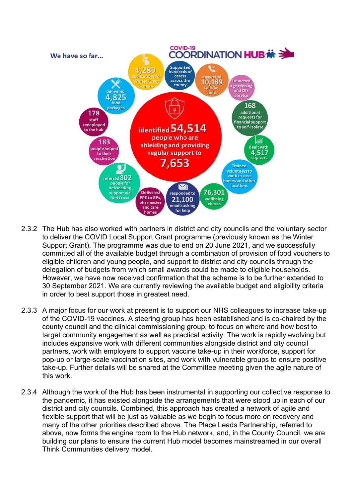

- 2.3.2 The Hub has also worked with partners in district and city councils and the voluntary sector to deliver the COVID Local Support Grant programme (previously known as the Winter Support Grant). The programme was due to end on 20 June 2021, and we successfully committed all of the available budget through a combination of provision of food vouchers to eligible children and young people, and support to district and city councils through the delegation of budgets from which small awards could be made to eligible households. However, we have now received confirmation that the scheme is to be further extended to 30 September 2021. We are currently reviewing the available budget and eligibility criteria in order to best support those in greatest need.
- 2.3.3 A major focus for our work at present is to support our NHS colleagues to increase take-up of the COVID-19 vaccines. A steering group has been established and is co-chaired by the county council and the clinical commissioning group, to focus on where and how best to target community engagement as well as practical activity. The work is rapidly evolving but includes expansive work with different communities alongside district and city council partners, work with employers to support vaccine take-up in their workforce, support for pop-up or large-scale vaccination sites, and work with vulnerable groups to ensure positive take-up. Further details will be shared at the Committee meeting given the agile nature of this work.
- 2.3.4 Although the work of the Hub has been instrumental in supporting our collective response to the pandemic, it has existed alongside the arrangements that were stood up in each of our district and city councils. Combined, this approach has created a network of agile and flexible support that will be just as valuable as we begin to focus more on recovery and many of the other priorities described above. The Place Leads Partnership, referred to above, now forms the engine room to the Hub network, and, in the County Council, we are building our plans to ensure the current Hub model becomes mainstreamed in our overall Think Communities delivery model.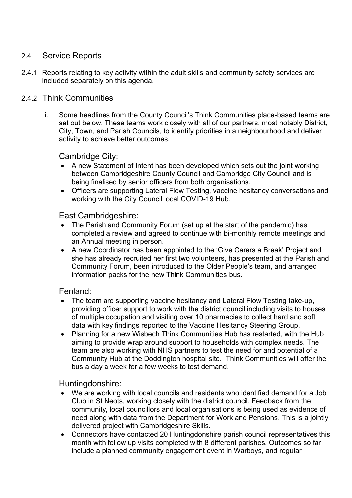#### 2.4 Service Reports

2.4.1 Reports relating to key activity within the adult skills and community safety services are included separately on this agenda.

#### 2.4.2 Think Communities

i. Some headlines from the County Council's Think Communities place-based teams are set out below. These teams work closely with all of our partners, most notably District, City, Town, and Parish Councils, to identify priorities in a neighbourhood and deliver activity to achieve better outcomes.

#### Cambridge City:

- A new Statement of Intent has been developed which sets out the joint working between Cambridgeshire County Council and Cambridge City Council and is being finalised by senior officers from both organisations.
- Officers are supporting Lateral Flow Testing, vaccine hesitancy conversations and working with the City Council local COVID-19 Hub.

#### East Cambridgeshire:

- The Parish and Community Forum (set up at the start of the pandemic) has completed a review and agreed to continue with bi-monthly remote meetings and an Annual meeting in person.
- A new Coordinator has been appointed to the 'Give Carers a Break' Project and she has already recruited her first two volunteers, has presented at the Parish and Community Forum, been introduced to the Older People's team, and arranged information packs for the new Think Communities bus.

#### Fenland:

- The team are supporting vaccine hesitancy and Lateral Flow Testing take-up, providing officer support to work with the district council including visits to houses of multiple occupation and visiting over 10 pharmacies to collect hard and soft data with key findings reported to the Vaccine Hesitancy Steering Group.
- Planning for a new Wisbech Think Communities Hub has restarted, with the Hub aiming to provide wrap around support to households with complex needs. The team are also working with NHS partners to test the need for and potential of a Community Hub at the Doddington hospital site. Think Communities will offer the bus a day a week for a few weeks to test demand.

Huntingdonshire:

- We are working with local councils and residents who identified demand for a Job Club in St Neots, working closely with the district council. Feedback from the community, local councillors and local organisations is being used as evidence of need along with data from the Department for Work and Pensions. This is a jointly delivered project with Cambridgeshire Skills.
- Connectors have contacted 20 Huntingdonshire parish council representatives this month with follow up visits completed with 8 different parishes. Outcomes so far include a planned community engagement event in Warboys, and regular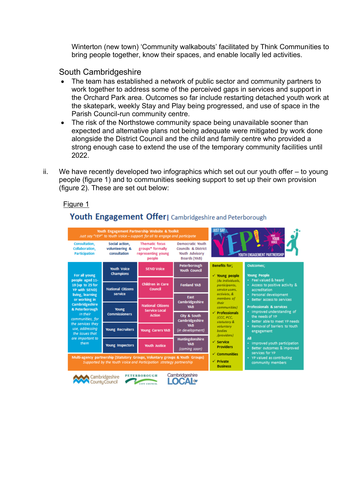Winterton (new town) 'Community walkabouts' facilitated by Think Communities to bring people together, know their spaces, and enable locally led activities.

South Cambridgeshire

- The team has established a network of public sector and community partners to work together to address some of the perceived gaps in services and support in the Orchard Park area. Outcomes so far include restarting detached youth work at the skatepark, weekly Stay and Play being progressed, and use of space in the Parish Council-run community centre.
- The risk of the Northstowe community space being unavailable sooner than expected and alternative plans not being adequate were mitigated by work done alongside the District Council and the child and family centre who provided a strong enough case to extend the use of the temporary community facilities until 2022.
- ii. We have recently developed two infographics which set out our youth offer to young people (figure 1) and to communities seeking support to set up their own provision (figure 2). These are set out below:

#### Figure 1

## Youth Engagement Offer | Cambridgeshire and Peterborough

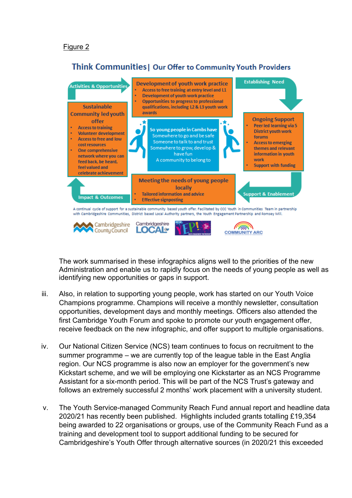### Think Communities | Our Offer to Community Youth Providers



The work summarised in these infographics aligns well to the priorities of the new Administration and enable us to rapidly focus on the needs of young people as well as identifying new opportunities or gaps in support.

- iii. Also, in relation to supporting young people, work has started on our Youth Voice Champions programme. Champions will receive a monthly newsletter, consultation opportunities, development days and monthly meetings. Officers also attended the first Cambridge Youth Forum and spoke to promote our youth engagement offer, receive feedback on the new infographic, and offer support to multiple organisations.
- iv. Our National Citizen Service (NCS) team continues to focus on recruitment to the summer programme – we are currently top of the league table in the East Anglia region. Our NCS programme is also now an employer for the government's new Kickstart scheme, and we will be employing one Kickstarter as an NCS Programme Assistant for a six-month period. This will be part of the NCS Trust's gateway and follows an extremely successful 2 months' work placement with a university student.
- v. The Youth Service-managed Community Reach Fund annual report and headline data 2020/21 has recently been published. Highlights included grants totalling £19,354 being awarded to 22 organisations or groups, use of the Community Reach Fund as a training and development tool to support additional funding to be secured for Cambridgeshire's Youth Offer through alternative sources (in 2020/21 this exceeded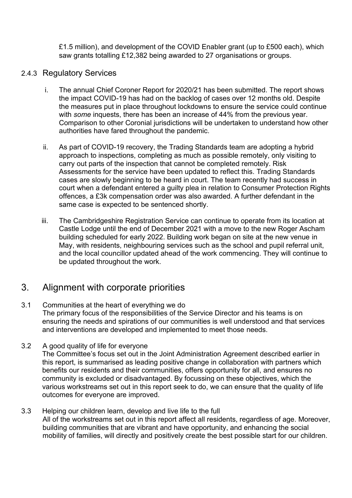£1.5 million), and development of the COVID Enabler grant (up to £500 each), which saw grants totalling £12,382 being awarded to 27 organisations or groups.

#### 2.4.3 Regulatory Services

- i. The annual Chief Coroner Report for 2020/21 has been submitted. The report shows the impact COVID-19 has had on the backlog of cases over 12 months old. Despite the measures put in place throughout lockdowns to ensure the service could continue with *some* inquests, there has been an increase of 44% from the previous year. Comparison to other Coronial jurisdictions will be undertaken to understand how other authorities have fared throughout the pandemic.
- ii. As part of COVID-19 recovery, the Trading Standards team are adopting a hybrid approach to inspections, completing as much as possible remotely, only visiting to carry out parts of the inspection that cannot be completed remotely. Risk Assessments for the service have been updated to reflect this. Trading Standards cases are slowly beginning to be heard in court. The team recently had success in court when a defendant entered a guilty plea in relation to Consumer Protection Rights offences, a £3k compensation order was also awarded. A further defendant in the same case is expected to be sentenced shortly.
- iii. The Cambridgeshire Registration Service can continue to operate from its location at Castle Lodge until the end of December 2021 with a move to the new Roger Ascham building scheduled for early 2022. Building work began on site at the new venue in May, with residents, neighbouring services such as the school and pupil referral unit, and the local councillor updated ahead of the work commencing. They will continue to be updated throughout the work.

# 3. Alignment with corporate priorities

- 3.1 Communities at the heart of everything we do The primary focus of the responsibilities of the Service Director and his teams is on ensuring the needs and spirations of our communities is well understood and that services and interventions are developed and implemented to meet those needs.
- 3.2 A good quality of life for everyone The Committee's focus set out in the Joint Administration Agreement described earlier in this report, is summarised as leading positive change in collaboration with partners which

benefits our residents and their communities, offers opportunity for all, and ensures no community is excluded or disadvantaged. By focussing on these objectives, which the various workstreams set out in this report seek to do, we can ensure that the quality of life outcomes for everyone are improved.

3.3 Helping our children learn, develop and live life to the full All of the workstreams set out in this report affect all residents, regardless of age. Moreover, building communities that are vibrant and have opportunity, and enhancing the social mobility of families, will directly and positively create the best possible start for our children.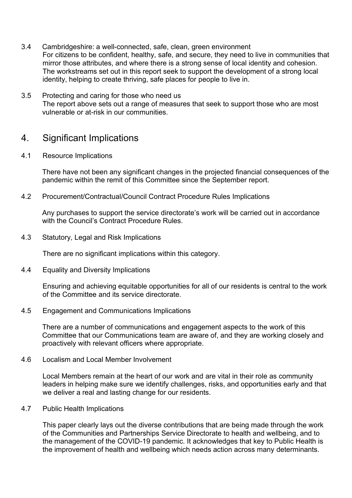- 3.4 Cambridgeshire: a well-connected, safe, clean, green environment For citizens to be confident, healthy, safe, and secure, they need to live in communities that mirror those attributes, and where there is a strong sense of local identity and cohesion. The workstreams set out in this report seek to support the development of a strong local identity, helping to create thriving, safe places for people to live in.
- 3.5 Protecting and caring for those who need us The report above sets out a range of measures that seek to support those who are most vulnerable or at-risk in our communities.

## 4. Significant Implications

#### 4.1 Resource Implications

There have not been any significant changes in the projected financial consequences of the pandemic within the remit of this Committee since the September report.

4.2 Procurement/Contractual/Council Contract Procedure Rules Implications

Any purchases to support the service directorate's work will be carried out in accordance with the Council's Contract Procedure Rules

4.3 Statutory, Legal and Risk Implications

There are no significant implications within this category.

4.4 Equality and Diversity Implications

Ensuring and achieving equitable opportunities for all of our residents is central to the work of the Committee and its service directorate.

4.5 Engagement and Communications Implications

There are a number of communications and engagement aspects to the work of this Committee that our Communications team are aware of, and they are working closely and proactively with relevant officers where appropriate.

4.6 Localism and Local Member Involvement

Local Members remain at the heart of our work and are vital in their role as community leaders in helping make sure we identify challenges, risks, and opportunities early and that we deliver a real and lasting change for our residents.

4.7 Public Health Implications

This paper clearly lays out the diverse contributions that are being made through the work of the Communities and Partnerships Service Directorate to health and wellbeing, and to the management of the COVID-19 pandemic. It acknowledges that key to Public Health is the improvement of health and wellbeing which needs action across many determinants.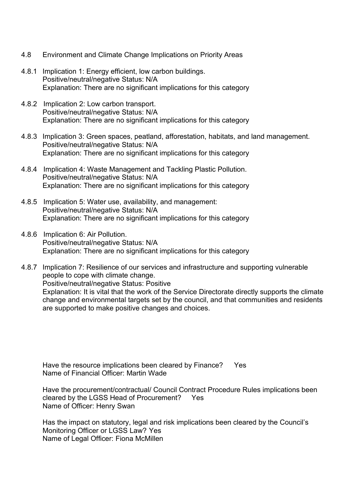- 4.8 Environment and Climate Change Implications on Priority Areas
- 4.8.1 Implication 1: Energy efficient, low carbon buildings. Positive/neutral/negative Status: N/A Explanation: There are no significant implications for this category
- 4.8.2 Implication 2: Low carbon transport. Positive/neutral/negative Status: N/A Explanation: There are no significant implications for this category
- 4.8.3 Implication 3: Green spaces, peatland, afforestation, habitats, and land management. Positive/neutral/negative Status: N/A Explanation: There are no significant implications for this category
- 4.8.4 Implication 4: Waste Management and Tackling Plastic Pollution. Positive/neutral/negative Status: N/A Explanation: There are no significant implications for this category
- 4.8.5 Implication 5: Water use, availability, and management: Positive/neutral/negative Status: N/A Explanation: There are no significant implications for this category
- 4.8.6 Implication 6: Air Pollution. Positive/neutral/negative Status: N/A Explanation: There are no significant implications for this category
- 4.8.7 Implication 7: Resilience of our services and infrastructure and supporting vulnerable people to cope with climate change. Positive/neutral/negative Status: Positive Explanation: It is vital that the work of the Service Directorate directly supports the climate change and environmental targets set by the council, and that communities and residents are supported to make positive changes and choices.

Have the resource implications been cleared by Finance? Yes Name of Financial Officer: Martin Wade

Have the procurement/contractual/ Council Contract Procedure Rules implications been cleared by the LGSS Head of Procurement? Yes Name of Officer: Henry Swan

Has the impact on statutory, legal and risk implications been cleared by the Council's Monitoring Officer or LGSS Law? Yes Name of Legal Officer: Fiona McMillen